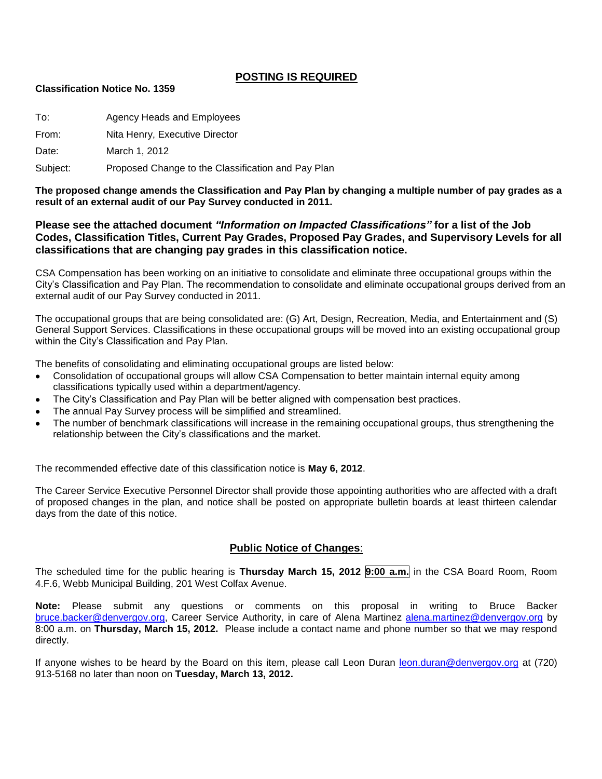# **POSTING IS REQUIRED**

#### **Classification Notice No. 1359**

| To:   | Agency Heads and Employees     |
|-------|--------------------------------|
| From: | Nita Henry, Executive Director |
| Date: | March 1, 2012                  |

Subject: Proposed Change to the Classification and Pay Plan

**The proposed change amends the Classification and Pay Plan by changing a multiple number of pay grades as a result of an external audit of our Pay Survey conducted in 2011.**

# **Please see the attached document** *"Information on Impacted Classifications"* **for a list of the Job Codes, Classification Titles, Current Pay Grades, Proposed Pay Grades, and Supervisory Levels for all classifications that are changing pay grades in this classification notice.**

CSA Compensation has been working on an initiative to consolidate and eliminate three occupational groups within the City's Classification and Pay Plan. The recommendation to consolidate and eliminate occupational groups derived from an external audit of our Pay Survey conducted in 2011.

The occupational groups that are being consolidated are: (G) Art, Design, Recreation, Media, and Entertainment and (S) General Support Services. Classifications in these occupational groups will be moved into an existing occupational group within the City's Classification and Pay Plan.

The benefits of consolidating and eliminating occupational groups are listed below:

- Consolidation of occupational groups will allow CSA Compensation to better maintain internal equity among  $\bullet$ classifications typically used within a department/agency.
- The City's Classification and Pay Plan will be better aligned with compensation best practices.
- The annual Pay Survey process will be simplified and streamlined.
- The number of benchmark classifications will increase in the remaining occupational groups, thus strengthening the relationship between the City's classifications and the market.

The recommended effective date of this classification notice is **May 6, 2012**.

The Career Service Executive Personnel Director shall provide those appointing authorities who are affected with a draft of proposed changes in the plan, and notice shall be posted on appropriate bulletin boards at least thirteen calendar days from the date of this notice.

# **Public Notice of Changes**:

The scheduled time for the public hearing is **Thursday March 15, 2012 9:00 a.m.** in the CSA Board Room, Room 4.F.6, Webb Municipal Building, 201 West Colfax Avenue.

**Note:** Please submit any questions or comments on this proposal in writing to Bruce Backer [bruce.backer@denvergov.org,](mailto:bruce.backer@denvergov.org) Career Service Authority, in care of Alena Martinez [alena.martinez@denvergov.org](mailto:alena.martinez@denvergov.org) by 8:00 a.m. on **Thursday, March 15, 2012.** Please include a contact name and phone number so that we may respond directly.

If anyone wishes to be heard by the Board on this item, please call Leon Duran [leon.duran@denvergov.org](mailto:leon.duran@denvergov.org) at (720) 913-5168 no later than noon on **Tuesday, March 13, 2012.**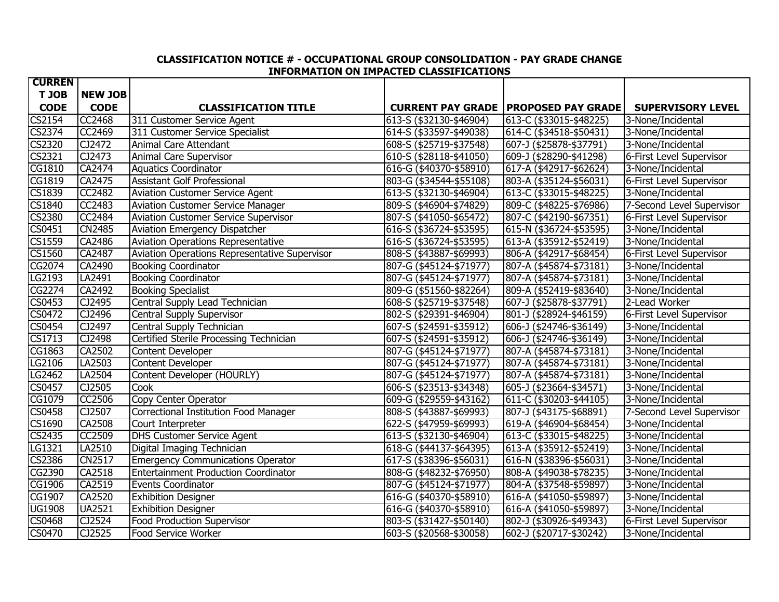# **CLASSIFICATION NOTICE # - OCCUPATIONAL GROUP CONSOLIDATION - PAY GRADE CHANGE INFORMATION ON IMPACTED CLASSIFICATIONS**

| <b>CURREN</b>              |                |                                               |                         |                                                 |                           |
|----------------------------|----------------|-----------------------------------------------|-------------------------|-------------------------------------------------|---------------------------|
| T JOB                      | <b>NEW JOB</b> |                                               |                         |                                                 |                           |
| <b>CODE</b>                | <b>CODE</b>    | <b>CLASSIFICATION TITLE</b>                   |                         | <b>CURRENT PAY GRADE   PROPOSED PAY GRADE  </b> | <b>SUPERVISORY LEVEL</b>  |
| <b>CS2154</b>              | <b>CC2468</b>  | 311 Customer Service Agent                    | 613-S (\$32130-\$46904) | 613-C (\$33015-\$48225)                         | 3-None/Incidental         |
| CS2374                     | CC2469         | 311 Customer Service Specialist               | 614-S (\$33597-\$49038) | 614-C (\$34518-\$50431)                         | 3-None/Incidental         |
| <b>CS2320</b>              | CJ2472         | <b>Animal Care Attendant</b>                  | 608-S (\$25719-\$37548) | 607-J (\$25878-\$37791)                         | 3-None/Incidental         |
| $\overline{\text{CS}2321}$ | CJ2473         | <b>Animal Care Supervisor</b>                 | 610-S (\$28118-\$41050) | 609-J (\$28290-\$41298)                         | 6-First Level Supervisor  |
| CG1810                     | CA2474         | <b>Aquatics Coordinator</b>                   | 616-G (\$40370-\$58910) | 617-A (\$42917-\$62624)                         | 3-None/Incidental         |
| CG1819                     | CA2475         | <b>Assistant Golf Professional</b>            | 803-G (\$34544-\$55108) | 803-A (\$35124-\$56031)                         | 6-First Level Supervisor  |
| <b>CS1839</b>              | CC2482         | <b>Aviation Customer Service Agent</b>        | 613-S (\$32130-\$46904) | 613-C (\$33015-\$48225)                         | 3-None/Incidental         |
| CS1840                     | CC2483         | Aviation Customer Service Manager             | 809-S (\$46904-\$74829) | 809-C (\$48225-\$76986)                         | 7-Second Level Supervisor |
| <b>CS2380</b>              | <b>CC2484</b>  | <b>Aviation Customer Service Supervisor</b>   | 807-S (\$41050-\$65472) | 807-C (\$42190-\$67351)                         | 6-First Level Supervisor  |
| $\overline{CS045}1$        | <b>CN2485</b>  | Aviation Emergency Dispatcher                 | 616-S (\$36724-\$53595) | 615-N (\$36724-\$53595)                         | 3-None/Incidental         |
| <b>CS1559</b>              | CA2486         | Aviation Operations Representative            | 616-S (\$36724-\$53595) | 613-A (\$35912-\$52419)                         | 3-None/Incidental         |
| CS1560                     | CA2487         | Aviation Operations Representative Supervisor | 808-S (\$43887-\$69993) | 806-A (\$42917-\$68454)                         | 6-First Level Supervisor  |
| CG2074                     | CA2490         | <b>Booking Coordinator</b>                    | 807-G (\$45124-\$71977) | 807-A (\$45874-\$73181)                         | 3-None/Incidental         |
| LG2193                     | LA2491         | <b>Booking Coordinator</b>                    | 807-G (\$45124-\$71977) | 807-A (\$45874-\$73181)                         | 3-None/Incidental         |
| CG2274                     | CA2492         | <b>Booking Specialist</b>                     | 809-G (\$51560-\$82264) | 809-A (\$52419-\$83640)                         | 3-None/Incidental         |
| CS0453                     | CJ2495         | Central Supply Lead Technician                | 608-S (\$25719-\$37548) | 607-J (\$25878-\$37791)                         | 2-Lead Worker             |
| CS0472                     | CJ2496         | Central Supply Supervisor                     | 802-S (\$29391-\$46904) | 801-J (\$28924-\$46159)                         | 6-First Level Supervisor  |
| <b>CS0454</b>              | CJ2497         | Central Supply Technician                     | 607-S (\$24591-\$35912) | 606-J (\$24746-\$36149)                         | 3-None/Incidental         |
| CS1713                     | CJ2498         | Certified Sterile Processing Technician       | 607-S (\$24591-\$35912) | 606-J (\$24746-\$36149)                         | 3-None/Incidental         |
| CG1863                     | CA2502         | Content Developer                             | 807-G (\$45124-\$71977) | 807-A (\$45874-\$73181)                         | 3-None/Incidental         |
| LG2106                     | LA2503         | Content Developer                             | 807-G (\$45124-\$71977) | 807-A (\$45874-\$73181)                         | 3-None/Incidental         |
| LG2462                     | LA2504         | Content Developer (HOURLY)                    | 807-G (\$45124-\$71977) | 807-A (\$45874-\$73181)                         | 3-None/Incidental         |
| CS0457                     | CJ2505         | Cook                                          | 606-S (\$23513-\$34348) | 605-J (\$23664-\$34571)                         | 3-None/Incidental         |
| CG1079                     | CC2506         | Copy Center Operator                          | 609-G (\$29559-\$43162) | 611-C (\$30203-\$44105)                         | 3-None/Incidental         |
| <b>CS0458</b>              | CJ2507         | <b>Correctional Institution Food Manager</b>  | 808-S (\$43887-\$69993) | 807-J (\$43175-\$68891)                         | 7-Second Level Supervisor |
| CS1690                     | CA2508         | Court Interpreter                             | 622-S (\$47959-\$69993) | 619-A (\$46904-\$68454)                         | 3-None/Incidental         |
| CS2435                     | <b>CC2509</b>  | <b>DHS Customer Service Agent</b>             | 613-S (\$32130-\$46904) | 613-C (\$33015-\$48225)                         | 3-None/Incidental         |
| LG1321                     | LA2510         | Digital Imaging Technician                    | 618-G (\$44137-\$64395) | 613-A (\$35912-\$52419)                         | 3-None/Incidental         |
| CS2386                     | <b>CN2517</b>  | <b>Emergency Communications Operator</b>      | 617-S (\$38396-\$56031) | 616-N (\$38396-\$56031)                         | 3-None/Incidental         |
| CG2390                     | CA2518         | <b>Entertainment Production Coordinator</b>   | 808-G (\$48232-\$76950) | 808-A (\$49038-\$78235)                         | 3-None/Incidental         |
| CG1906                     | CA2519         | Events Coordinator                            | 807-G (\$45124-\$71977) | 804-A (\$37548-\$59897)                         | 3-None/Incidental         |
| CG1907                     | CA2520         | <b>Exhibition Designer</b>                    | 616-G (\$40370-\$58910) | 616-A (\$41050-\$59897)                         | 3-None/Incidental         |
| <b>UG1908</b>              | <b>UA2521</b>  | <b>Exhibition Designer</b>                    | 616-G (\$40370-\$58910) | 616-A (\$41050-\$59897)                         | 3-None/Incidental         |
| CS0468                     | CJ2524         | <b>Food Production Supervisor</b>             | 803-S (\$31427-\$50140) | 802-J (\$30926-\$49343)                         | 6-First Level Supervisor  |
| <b>CS0470</b>              | CJ2525         | Food Service Worker                           | 603-S (\$20568-\$30058) | 602-J (\$20717-\$30242)                         | 3-None/Incidental         |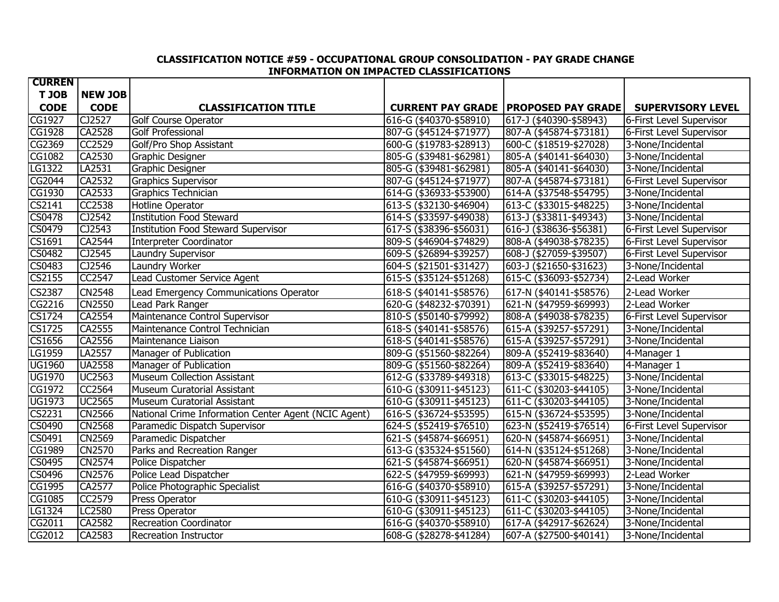# **CLASSIFICATION NOTICE #59 - OCCUPATIONAL GROUP CONSOLIDATION - PAY GRADE CHANGE INFORMATION ON IMPACTED CLASSIFICATIONS**

| <b>CURREN</b>       |                |                                                      |                         |                                                 |                          |
|---------------------|----------------|------------------------------------------------------|-------------------------|-------------------------------------------------|--------------------------|
| T JOB               | <b>NEW JOB</b> |                                                      |                         |                                                 |                          |
| <b>CODE</b>         | <b>CODE</b>    | <b>CLASSIFICATION TITLE</b>                          |                         | <b>CURRENT PAY GRADE   PROPOSED PAY GRADE  </b> | <b>SUPERVISORY LEVEL</b> |
| CG1927              | CJ2527         | <b>Golf Course Operator</b>                          | 616-G (\$40370-\$58910) | 617-J (\$40390-\$58943)                         | 6-First Level Supervisor |
| CG1928              | <b>CA2528</b>  | <b>Golf Professional</b>                             | 807-G (\$45124-\$71977) | 807-A (\$45874-\$73181)                         | 6-First Level Supervisor |
| CG2369              | <b>CC2529</b>  | Golf/Pro Shop Assistant                              | 600-G (\$19783-\$28913) | 600-C (\$18519-\$27028)                         | 3-None/Incidental        |
| <b>CG1082</b>       | CA2530         | Graphic Designer                                     | 805-G (\$39481-\$62981) | 805-A (\$40141-\$64030)                         | 3-None/Incidental        |
| LG1322              | LA2531         | Graphic Designer                                     | 805-G (\$39481-\$62981) | 805-A (\$40141-\$64030)                         | 3-None/Incidental        |
| CG2044              | CA2532         | Graphics Supervisor                                  | 807-G (\$45124-\$71977) | 807-A (\$45874-\$73181)                         | 6-First Level Supervisor |
| CG1930              | CA2533         | Graphics Technician                                  | 614-G (\$36933-\$53900) | 614-A (\$37548-\$54795)                         | 3-None/Incidental        |
| CS2141              | CC2538         | Hotline Operator                                     | 613-S (\$32130-\$46904) | 613-C (\$33015-\$48225)                         | 3-None/Incidental        |
| <b>CS0478</b>       | CJ2542         | <b>Institution Food Steward</b>                      | 614-S (\$33597-\$49038) | 613-J (\$33811-\$49343)                         | 3-None/Incidental        |
| CS0479              | CJ2543         | <b>Institution Food Steward Supervisor</b>           | 617-S (\$38396-\$56031) | 616-J (\$38636-\$56381)                         | 6-First Level Supervisor |
| CS1691              | CA2544         | Interpreter Coordinator                              | 809-S (\$46904-\$74829) | 808-A (\$49038-\$78235)                         | 6-First Level Supervisor |
| <b>CS0482</b>       | CJ2545         | Laundry Supervisor                                   | 609-S (\$26894-\$39257) | 608-J (\$27059-\$39507)                         | 6-First Level Supervisor |
| <b>CS0483</b>       | CJ2546         | <b>Laundry Worker</b>                                | 604-S (\$21501-\$31427) | 603-J (\$21650-\$31623)                         | 3-None/Incidental        |
| <b>CS2155</b>       | <b>CC2547</b>  | Lead Customer Service Agent                          | 615-S (\$35124-\$51268) | 615-C (\$36093-\$52734)                         | 2-Lead Worker            |
| <b>CS2387</b>       | <b>CN2548</b>  | Lead Emergency Communications Operator               | 618-S (\$40141-\$58576) | 617-N (\$40141-\$58576)                         | 2-Lead Worker            |
| $\overline{CG2216}$ | <b>CN2550</b>  | Lead Park Ranger                                     | 620-G (\$48232-\$70391) | 621-N (\$47959-\$69993)                         | 2-Lead Worker            |
| CS1724              | CA2554         | Maintenance Control Supervisor                       | 810-S (\$50140-\$79992) | 808-A (\$49038-\$78235)                         | 6-First Level Supervisor |
| CS1725              | CA2555         | Maintenance Control Technician                       | 618-S (\$40141-\$58576) | 615-A (\$39257-\$57291)                         | 3-None/Incidental        |
| <b>CS1656</b>       | CA2556         | Maintenance Liaison                                  | 618-S (\$40141-\$58576) | 615-A (\$39257-\$57291)                         | 3-None/Incidental        |
| LG1959              | LA2557         | Manager of Publication                               | 809-G (\$51560-\$82264) | 809-A (\$52419-\$83640)                         | 4-Manager 1              |
| <b>UG1960</b>       | <b>UA2558</b>  | Manager of Publication                               | 809-G (\$51560-\$82264) | 809-A (\$52419-\$83640)                         | 4-Manager 1              |
| <b>UG1970</b>       | <b>UC2563</b>  | <b>Museum Collection Assistant</b>                   | 612-G (\$33789-\$49318) | 613-C (\$33015-\$48225)                         | 3-None/Incidental        |
| CG1972              | <b>CC2564</b>  | Museum Curatorial Assistant                          | 610-G (\$30911-\$45123) | 611-C (\$30203-\$44105)                         | 3-None/Incidental        |
| <b>UG1973</b>       | <b>UC2565</b>  | Museum Curatorial Assistant                          | 610-G (\$30911-\$45123) | 611-C (\$30203-\$44105)                         | 3-None/Incidental        |
| CS2231              | <b>CN2566</b>  | National Crime Information Center Agent (NCIC Agent) | 616-S (\$36724-\$53595) | 615-N (\$36724-\$53595)                         | 3-None/Incidental        |
| CS0490              | <b>CN2568</b>  | Paramedic Dispatch Supervisor                        | 624-S (\$52419-\$76510) | 623-N (\$52419-\$76514)                         | 6-First Level Supervisor |
| CS0491              | <b>CN2569</b>  | Paramedic Dispatcher                                 | 621-S (\$45874-\$66951) | 620-N (\$45874-\$66951)                         | 3-None/Incidental        |
| <b>CG1989</b>       | <b>CN2570</b>  | Parks and Recreation Ranger                          | 613-G (\$35324-\$51560) | 614-N (\$35124-\$51268)                         | 3-None/Incidental        |
| CS0495              | <b>CN2574</b>  | Police Dispatcher                                    | 621-S (\$45874-\$66951) | 620-N (\$45874-\$66951)                         | 3-None/Incidental        |
| CS0496              | <b>CN2576</b>  | Police Lead Dispatcher                               | 622-S (\$47959-\$69993) | 621-N (\$47959-\$69993)                         | 2-Lead Worker            |
| CG1995              | CA2577         | Police Photographic Specialist                       | 616-G (\$40370-\$58910) | 615-A (\$39257-\$57291)                         | 3-None/Incidental        |
| <b>CG1085</b>       | <b>CC2579</b>  | Press Operator                                       | 610-G (\$30911-\$45123) | 611-C (\$30203-\$44105)                         | 3-None/Incidental        |
| LG1324              | LC2580         | Press Operator                                       | 610-G (\$30911-\$45123) | 611-C (\$30203-\$44105)                         | 3-None/Incidental        |
| CG2011              | CA2582         | <b>Recreation Coordinator</b>                        | 616-G (\$40370-\$58910) | 617-A (\$42917-\$62624)                         | 3-None/Incidental        |
| CG2012              | CA2583         | <b>Recreation Instructor</b>                         | 608-G (\$28278-\$41284) | 607-A (\$27500-\$40141)                         | 3-None/Incidental        |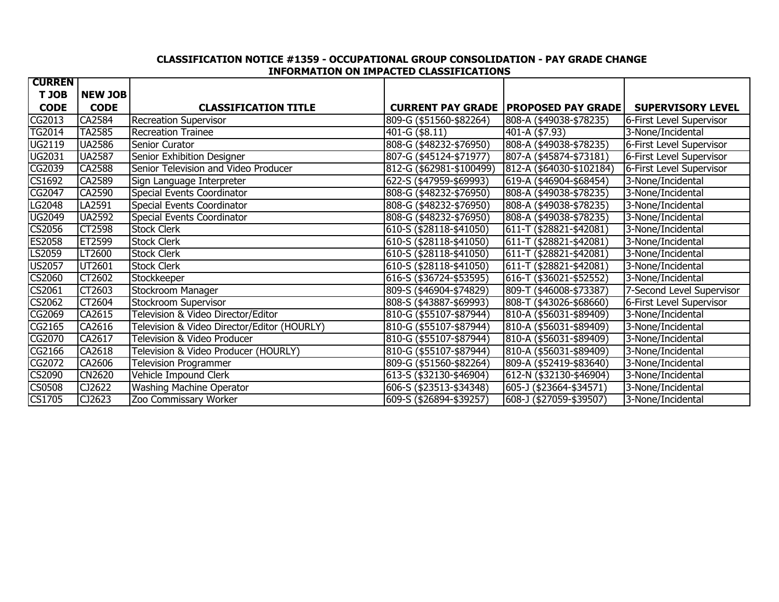# **CLASSIFICATION NOTICE #1359 - OCCUPATIONAL GROUP CONSOLIDATION - PAY GRADE CHANGE INFORMATION ON IMPACTED CLASSIFICATIONS**

| <b>CURREN</b>              |                |                                             |                             |                                                 |                           |
|----------------------------|----------------|---------------------------------------------|-----------------------------|-------------------------------------------------|---------------------------|
| T JOB                      | <b>NEW JOB</b> |                                             |                             |                                                 |                           |
| <b>CODE</b>                | <b>CODE</b>    | <b>CLASSIFICATION TITLE</b>                 |                             | <b>CURRENT PAY GRADE   PROPOSED PAY GRADE  </b> | <b>SUPERVISORY LEVEL</b>  |
| CG2013                     | CA2584         | <b>Recreation Supervisor</b>                | 809-G (\$51560-\$82264)     | 808-A (\$49038-\$78235)                         | 6-First Level Supervisor  |
| <b>TG2014</b>              | <b>TA2585</b>  | Recreation Trainee                          | 401-G (\$8.11)              | 401-A (\$7.93)                                  | 3-None/Incidental         |
| UG2119                     | <b>UA2586</b>  | Senior Curator                              | 808-G (\$48232-\$76950)     | 808-A (\$49038-\$78235)                         | 6-First Level Supervisor  |
| <b>UG2031</b>              | <b>UA2587</b>  | <b>Senior Exhibition Designer</b>           | 807-G (\$45124-\$71977)     | 807-A (\$45874-\$73181)                         | 6-First Level Supervisor  |
| CG2039                     | CA2588         | Senior Television and Video Producer        | 812-G (\$62981-\$100499)    | 812-A (\$64030-\$102184)                        | 6-First Level Supervisor  |
| CS1692                     | CA2589         | Sign Language Interpreter                   | 622-S (\$47959-\$69993)     | 619-A (\$46904-\$68454)                         | 3-None/Incidental         |
| CG2047                     | CA2590         | Special Events Coordinator                  | 808-G (\$48232-\$76950)     | 808-A (\$49038-\$78235)                         | 3-None/Incidental         |
| G2048                      | LA2591         | Special Events Coordinator                  | 808-G (\$48232-\$76950)     | 808-A (\$49038-\$78235)                         | 3-None/Incidental         |
| <b>UG2049</b>              | <b>UA2592</b>  | Special Events Coordinator                  | 808-G (\$48232-\$76950)     | 808-A (\$49038-\$78235)                         | 3-None/Incidental         |
| CS2056                     | CT2598         | <b>Stock Clerk</b>                          | $610 - S$ (\$28118-\$41050) | 611-T (\$28821-\$42081)                         | 3-None/Incidental         |
| <b>ES2058</b>              | ET2599         | <b>Stock Clerk</b>                          | 610-S (\$28118-\$41050)     | 611-T (\$28821-\$42081)                         | 3-None/Incidental         |
| LS2059                     | LT2600         | <b>Stock Clerk</b>                          | 610-S (\$28118-\$41050)     | 611-T (\$28821-\$42081)                         | 3-None/Incidental         |
| <b>US2057</b>              | UT2601         | <b>Stock Clerk</b>                          | 610-S (\$28118-\$41050)     | 611-T (\$28821-\$42081)                         | 3-None/Incidental         |
| CS2060                     | CT2602         | Stockkeeper                                 | 616-S (\$36724-\$53595)     | 616-T (\$36021-\$52552)                         | 3-None/Incidental         |
| CS2061                     | CT2603         | Stockroom Manager                           | 809-S (\$46904-\$74829)     | 809-T (\$46008-\$73387)                         | 7-Second Level Supervisor |
| CS2062                     | CT2604         | Stockroom Supervisor                        | 808-S (\$43887-\$69993)     | 808-T (\$43026-\$68660)                         | 6-First Level Supervisor  |
| CG2069                     | CA2615         | Television & Video Director/Editor          | 810-G (\$55107-\$87944)     | 810-A (\$56031-\$89409)                         | 3-None/Incidental         |
| CG2165                     | CA2616         | Television & Video Director/Editor (HOURLY) | 810-G (\$55107-\$87944)     | 810-A (\$56031-\$89409)                         | 3-None/Incidental         |
| CG2070                     | CA2617         | Television & Video Producer                 | 810-G (\$55107-\$87944)     | 810-A (\$56031-\$89409)                         | 3-None/Incidental         |
| CG2166                     | CA2618         | Television & Video Producer (HOURLY)        | 810-G (\$55107-\$87944)     | 810-A (\$56031-\$89409)                         | 3-None/Incidental         |
| CG2072                     | CA2606         | <b>Television Programmer</b>                | 809-G (\$51560-\$82264)     | 809-A (\$52419-\$83640)                         | 3-None/Incidental         |
| CS2090                     | <b>CN2620</b>  | Vehicle Impound Clerk                       | 613-S (\$32130-\$46904)     | 612-N (\$32130-\$46904)                         | 3-None/Incidental         |
| <b>CS0508</b>              | CJ2622         | Washing Machine Operator                    | 606-S (\$23513-\$34348)     | 605-J (\$23664-\$34571)                         | 3-None/Incidental         |
| $\overline{\text{CS1705}}$ | CJ2623         | Zoo Commissary Worker                       | 609-S (\$26894-\$39257)     | 608-J (\$27059-\$39507)                         | 3-None/Incidental         |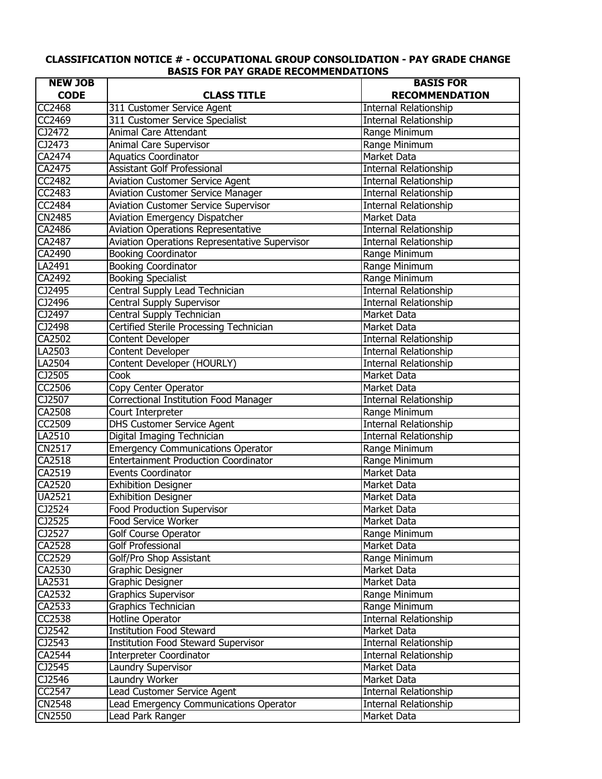# **CLASSIFICATION NOTICE # - OCCUPATIONAL GROUP CONSOLIDATION - PAY GRADE CHANGE BASIS FOR PAY GRADE RECOMMENDATIONS**

| <b>NEW JOB</b>                    |                                               | <b>BASIS FOR</b>             |
|-----------------------------------|-----------------------------------------------|------------------------------|
| <b>CODE</b>                       | <b>CLASS TITLE</b>                            | <b>RECOMMENDATION</b>        |
| <b>CC2468</b>                     | 311 Customer Service Agent                    | <b>Internal Relationship</b> |
| CC2469                            | 311 Customer Service Specialist               | <b>Internal Relationship</b> |
| CJ2472                            | <b>Animal Care Attendant</b>                  | Range Minimum                |
| CJ2473                            | Animal Care Supervisor                        | Range Minimum                |
| CA2474                            | <b>Aquatics Coordinator</b>                   | <b>Market Data</b>           |
| CA2475                            | <b>Assistant Golf Professional</b>            | Internal Relationship        |
| CC2482                            | <b>Aviation Customer Service Agent</b>        | <b>Internal Relationship</b> |
| $\overline{CC}$ 2483              | <b>Aviation Customer Service Manager</b>      | <b>Internal Relationship</b> |
| $\overline{CC}$ 2484              | <b>Aviation Customer Service Supervisor</b>   | Internal Relationship        |
| CN2485                            | Aviation Emergency Dispatcher                 | Market Data                  |
| CA2486                            | <b>Aviation Operations Representative</b>     | Internal Relationship        |
| CA2487                            | Aviation Operations Representative Supervisor | <b>Internal Relationship</b> |
| CA2490                            | <b>Booking Coordinator</b>                    | Range Minimum                |
| LA2491                            | <b>Booking Coordinator</b>                    | Range Minimum                |
| CA2492                            | <b>Booking Specialist</b>                     | Range Minimum                |
| CJ2495                            | Central Supply Lead Technician                | <b>Internal Relationship</b> |
| CJ2496                            | Central Supply Supervisor                     | <b>Internal Relationship</b> |
| CJ2497                            | Central Supply Technician                     | Market Data                  |
| CJ2498                            | Certified Sterile Processing Technician       | Market Data                  |
| CA2502                            | Content Developer                             | <b>Internal Relationship</b> |
| LA2503                            | Content Developer                             | <b>Internal Relationship</b> |
| LA2504                            | Content Developer (HOURLY)                    | <b>Internal Relationship</b> |
| $\overline{C}$ J2505              | Cook                                          | Market Data                  |
| CC2506                            | Copy Center Operator                          | Market Data                  |
| CJ2507                            | Correctional Institution Food Manager         | Internal Relationship        |
| CA2508                            | Court Interpreter                             | Range Minimum                |
| CC2509                            | <b>DHS Customer Service Agent</b>             | Internal Relationship        |
| LA2510                            | Digital Imaging Technician                    | <b>Internal Relationship</b> |
| <b>CN2517</b>                     | <b>Emergency Communications Operator</b>      | Range Minimum                |
| CA2518                            | <b>Entertainment Production Coordinator</b>   | Range Minimum                |
| CA2519                            | <b>Events Coordinator</b>                     | Market Data                  |
| CA2520                            | <b>Exhibition Designer</b>                    | Market Data                  |
| <b>UA2521</b>                     | <b>Exhibition Designer</b>                    | Market Data                  |
| CJ2524                            | <b>Food Production Supervisor</b>             | Market Data                  |
| CI2525                            | Food Service Worker                           | Market Data                  |
| $\overline{CI2}$ 527              | Golf Course Operator                          | Range Minimum                |
| CA2528                            | <b>Golf Professional</b>                      | Market Data                  |
| CC2529                            | Golf/Pro Shop Assistant                       | Range Minimum                |
| CA2530                            | Graphic Designer                              | Market Data                  |
| LA2531                            | Graphic Designer                              | Market Data                  |
| CA2532                            | Graphics Supervisor                           | Range Minimum                |
| CA2533                            | Graphics Technician                           | Range Minimum                |
| CC2538                            | Hotline Operator                              | <b>Internal Relationship</b> |
| $\overline{C}$ $\overline{2}$ 542 | <b>Institution Food Steward</b>               | <b>Market Data</b>           |
| CJ2543                            | <b>Institution Food Steward Supervisor</b>    | <b>Internal Relationship</b> |
| CA2544                            |                                               |                              |
| CJ2545                            | <b>Interpreter Coordinator</b>                | Internal Relationship        |
|                                   | Laundry Supervisor                            | Market Data                  |
| CJ2546                            | Laundry Worker                                | Market Data                  |
| CC2547                            | Lead Customer Service Agent                   | <b>Internal Relationship</b> |
| <b>CN2548</b>                     | Lead Emergency Communications Operator        | Internal Relationship        |
| <b>CN2550</b>                     | Lead Park Ranger                              | Market Data                  |